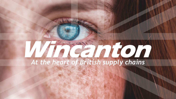# *At the heart of British supply chains*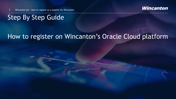

2 Wincanton plc – How to register as a supplier for Wincanton

## Step By Step Guide

## How to register on Wincanton's Oracle Cloud platform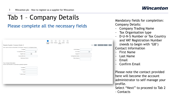## Tab 1 – Company Details

### Please complete all the necessary fields

| Register Supplier: Company Details 2                                                                     | Contacts Addresses<br>Bank<br>Review<br>Question<br>Company<br><b>Details</b><br>Accounts | Save for Later<br>Register<br>Cancel<br>Back<br>Ne <u>x</u> t |
|----------------------------------------------------------------------------------------------------------|-------------------------------------------------------------------------------------------|---------------------------------------------------------------|
| Enter a value for at least one of these fields: D-U-N-S Number, Taxpayer ID, or Tax Registration Number. |                                                                                           |                                                               |
| * Company                                                                                                | D-U-N-S Number                                                                            |                                                               |
| $\check{ }$<br>* Tax Organization Type                                                                   | <b>Tax Country</b>                                                                        | $\mathbf v$                                                   |
| $\vert \vee \vert$<br>Supplier Type                                                                      | Taxpayer ID                                                                               |                                                               |
| Corporate Web Site                                                                                       | <b>Tax Registration Number</b>                                                            |                                                               |
| Attachments None                                                                                         | Note to Approver                                                                          |                                                               |
|                                                                                                          |                                                                                           |                                                               |
| * Last Name                                                                                              |                                                                                           |                                                               |
| * First Name                                                                                             |                                                                                           |                                                               |
|                                                                                                          |                                                                                           |                                                               |
| * Email                                                                                                  |                                                                                           |                                                               |
| * Confirm Email                                                                                          |                                                                                           |                                                               |
|                                                                                                          |                                                                                           |                                                               |
|                                                                                                          |                                                                                           |                                                               |
|                                                                                                          |                                                                                           |                                                               |
|                                                                                                          |                                                                                           |                                                               |
|                                                                                                          |                                                                                           |                                                               |

Mandatory fields for completion: Company Details:

- Company Trading Name
- Tax Organisation type
- D-U-N-S Number or Tax Country and VAT Registration Number (needs to begin with 'GB')

Contact Information

- First Name
- Last Name
- **Email**
- Confirm Email

Please note the contact provided here will become the account administrator to self manage your profile.

Select "Next" to proceed to Tab 2 - Contacts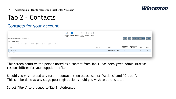

## Tab 2 – Contacts

#### Contacts for your account

|                                                                              | $\bigcirc - 2 - 3 - 4 - 6 - 6$<br>Contacts Addresses Bank Question Review<br>Company<br>Accounts<br><b>Details</b> |           |                          |                           |                           |      |                       |
|------------------------------------------------------------------------------|--------------------------------------------------------------------------------------------------------------------|-----------|--------------------------|---------------------------|---------------------------|------|-----------------------|
| Register Supplier: Contacts ②                                                |                                                                                                                    |           |                          | Back Next                 | Save for Later   Register |      | Cancel                |
| Enter at least one contact.                                                  |                                                                                                                    |           |                          |                           |                           |      |                       |
| Actions v View v Format v → Create / Edit X Delete III Freeze Detach II Wrap |                                                                                                                    |           |                          |                           |                           |      |                       |
| Name                                                                         |                                                                                                                    | Job Title | Email                    | Administrative<br>Contact | Request User<br>Account   | Edit | Delete                |
| Thind, Sandeep                                                               |                                                                                                                    |           | Sandeep.thind@test.co.uk | $\sim$                    | $\prec$                   | P.   | $\boldsymbol{\times}$ |
| Columns Hidden 7                                                             |                                                                                                                    |           |                          |                           |                           |      |                       |
|                                                                              |                                                                                                                    |           |                          |                           |                           |      |                       |
|                                                                              |                                                                                                                    |           |                          |                           |                           |      |                       |

This screen confirms the person noted as a contact from Tab 1, has been given administrative responsibilities for your supplier profile.

Should you wish to add any further contacts then please select "Actions" and "Create". This can be done at any stage post registration should you wish to do this later.

Select "Next" to proceed to Tab 3 - Addresses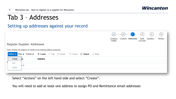## Tab 3 – Addresses

#### Setting up addresses against your record

|                                                                            | Company<br>Details | Contacts Addresses | Accounts | $\bigcirc - \bigcirc - 3 - (4) - (5) - (6)$<br>Bank Question | Review |
|----------------------------------------------------------------------------|--------------------|--------------------|----------|--------------------------------------------------------------|--------|
| Register Supplier: Addresses                                               |                    |                    |          |                                                              |        |
| Enter at least one address for remit-to and ordering address purposes.     |                    |                    |          |                                                              |        |
| Actions View v Format v + Create Edit X Delete III Freeze in Detach I Wrap |                    |                    |          |                                                              |        |
| Create<br><b>Address</b><br><b>lie</b>                                     |                    |                    |          |                                                              |        |
| Edit<br>hЗ                                                                 |                    |                    |          |                                                              |        |
| Delete                                                                     |                    |                    |          |                                                              |        |
|                                                                            |                    |                    |          |                                                              |        |

Select "Actions" on the left hand side and select "Create".

You will need to add at least one address to assign PO and Remittance email addresses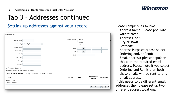

## Tab 3 – Addresses continued

#### Setting up addresses against your record The Please complete as follows:

| <b>Create Address</b>                                                                                                                                           |                                        |                                                       |                                                                                        |                           |                     |        |
|-----------------------------------------------------------------------------------------------------------------------------------------------------------------|----------------------------------------|-------------------------------------------------------|----------------------------------------------------------------------------------------|---------------------------|---------------------|--------|
| * Address Name<br>$*$ Country<br>* Address Line 1<br><b>Address Line 2</b><br><b>Address Line 3</b><br>* City or Town<br>County<br>Postcode<br>Address Contacts | United Kingdom<br>$\blacktriangledown$ | * Address Purpose   Ordering<br>Phone<br>Fax<br>Email | Remit to<br>RFQ or Bidding<br>44<br>$\blacktriangledown$<br>44<br>$\blacktriangledown$ |                           |                     |        |
| Select the contacts that are associated with this address.                                                                                                      |                                        |                                                       |                                                                                        |                           |                     |        |
| Actions $\bullet$ View $\bullet$ Format $\bullet$<br>Name<br>No data to display.                                                                                | 국.<br><b>III</b> Freeze<br>$\times$    | Detach + Wrap<br>Job Title                            | Email                                                                                  | Administrative<br>Contact | <b>User Account</b> |        |
| Columns Hidden 4                                                                                                                                                |                                        |                                                       |                                                                                        |                           |                     |        |
|                                                                                                                                                                 |                                        |                                                       |                                                                                        | <b>Create Another</b>     | 0K                  | Cancel |

- Address Name: Please populate with "Sales"
- Address Line 1
- City or Town
- Postcode
- Address Purpose: please select Ordering and/or Remit
- Email address: please populate this with the required email address. Please note if you select Ordering and Remit then both those emails will be sent to this email address.

If this needs to be different email addresses then please set up two different address locations.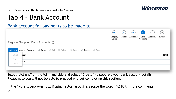## Tab 4 – Bank Account

Bank account for payments to be made to

|   |        |                                                                                                                  | Company<br>Details | $(\checkmark)$ | Contacts Addresses | $ \odot$ $ 4$ $ (5)$ $ (6)$<br>Bank Question<br>Accounts | Review      |
|---|--------|------------------------------------------------------------------------------------------------------------------|--------------------|----------------|--------------------|----------------------------------------------------------|-------------|
|   |        | Register Supplier: Bank Accounts 2<br>Actions View v Format v + Create Edit X Delete III Freeze in Detach I Wrap |                    |                |                    |                                                          |             |
|   | Create | iber                                                                                                             |                    |                |                    |                                                          | <b>IBAN</b> |
| N | Edit   | 8                                                                                                                |                    |                |                    |                                                          |             |
|   | Delete |                                                                                                                  |                    |                |                    |                                                          |             |

Select "Actions" on the left hand side and select "Create" to populate your bank account details. Please note you will not be able to proceed without completing this section.

In the 'Note to Approver' box if using factoring business place the word 'FACTOR' in the comments box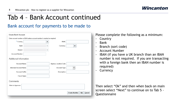

## Tab 4 – Bank Account continued

#### Bank account for payments to be made to

| <b>Create Bank Account</b>    |                                                                           |                             |                                       |
|-------------------------------|---------------------------------------------------------------------------|-----------------------------|---------------------------------------|
|                               | Enter account number or IBAN unless account number is marked as required. |                             |                                       |
| $*$ Country                   | $\blacktriangledown$                                                      | <b>IBAN</b>                 |                                       |
| Bank                          |                                                                           | Currency                    | $\blacktriangledown$                  |
| Branch                        |                                                                           |                             |                                       |
| <b>Account Number</b>         |                                                                           |                             |                                       |
| Additional Information        |                                                                           |                             |                                       |
| <b>Account Name</b>           |                                                                           | <b>Agency Location Code</b> |                                       |
| <b>Alternate Account Name</b> |                                                                           | <b>Account Type</b>         | $\checkmark$                          |
| <b>Account Suffix</b>         |                                                                           | Description                 |                                       |
| <b>Check Digits</b>           |                                                                           |                             |                                       |
| Comments                      |                                                                           |                             |                                       |
| Note to Approver              |                                                                           |                             |                                       |
|                               |                                                                           |                             | <b>Create Another</b><br>OĶ<br>Cancel |

Please complete the following as a minimum:

- Country
- Bank
- Branch (sort code)
- Account Number
- IBAN (if you have a UK branch than an IBAN number is not required. If you are transacting with a foreign bank then an IBAN number is required)
- **Currency**

Then select "Ok" and then when back on main screen select "Next" to continue on to Tab 5 - **Questionnaire**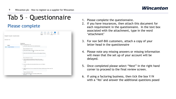## Tab 5 – Questionnaire

#### Please complete

|                                  | 6                                                                                                                                                         |
|----------------------------------|-----------------------------------------------------------------------------------------------------------------------------------------------------------|
|                                  | Contacts Addresses<br>Bank<br>Question.<br>Review<br>Company<br>Details<br>Accounts                                                                       |
| Register Supplier: Questionnaire |                                                                                                                                                           |
|                                  |                                                                                                                                                           |
|                                  |                                                                                                                                                           |
| Attachments None                 |                                                                                                                                                           |
|                                  |                                                                                                                                                           |
|                                  | Questions                                                                                                                                                 |
| Section                          | Supplier Onboarding (Section 1 of 1)                                                                                                                      |
| 1. Supplier Onboarding           | * 1. Last recorded Company Annual Turnover (state financial year)                                                                                         |
|                                  | Response Attachments None                                                                                                                                 |
|                                  | * 2. Please select the category of services you are looking to supply to Wincanton.                                                                       |
|                                  | $\check{}$                                                                                                                                                |
|                                  | * 3. Please provide a brief summary of the services you will be supplying to Wincanton                                                                    |
|                                  |                                                                                                                                                           |
|                                  |                                                                                                                                                           |
|                                  | Response Attachments None                                                                                                                                 |
|                                  | * 4. In order to provide your service/product to Wincanton will you process (collect/record/transfer/structure/store/erase or destroy) any personal data? |
|                                  | a. Yes                                                                                                                                                    |
|                                  | $\bigcap$ b. No                                                                                                                                           |
|                                  | * 5. As part of your offering, will you be providing Wincanton access to an IT platform.                                                                  |
|                                  | a. Yes                                                                                                                                                    |
|                                  | $\bigcap$ b. No                                                                                                                                           |
|                                  | * 6. Please provide the level of cover your company holds for Employers Liability Insurance & attach a copy of the<br>certificate                         |
|                                  |                                                                                                                                                           |
|                                  | * Response Attachments None=                                                                                                                              |
|                                  | * 7. Please confirm the expiry date for your Employers Liability Insurance.                                                                               |
|                                  | 陷<br>dd/mm/yyyy                                                                                                                                           |

- 1. Please complete the questionnaire.
- 2. If you have insurances, then attach this document for each requirement in the questionnaire. In the text box associated with the attachment, type in the word 'attachment'
- 3. For non Self-Bill customers, attach a copy of your letter head in the questionnaire
- 4. Please note any missing answers or missing information will mean that the set up of your account will be delayed.
- 5. Once completed please select "Next" in the right hand corner to proceed to the final review screen.
- 6. If using a factoring business, then tick the box Y/N with a 'Yes' and answer the additional questions posed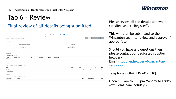## Tab 6 – Review

#### Final review of all details being submitted

| Review Supplier Registration: Test 2                                                                                                                            | 6 <sub>6</sub><br>✓<br>✓<br>$\bullet$<br>V<br>✓<br>Review<br>Contacts Addresses<br>Bank<br>Question<br>Company<br>Details<br>Accounts | Back                              | Save for Later<br>Next                    | Register                                       | Cancel              |
|-----------------------------------------------------------------------------------------------------------------------------------------------------------------|---------------------------------------------------------------------------------------------------------------------------------------|-----------------------------------|-------------------------------------------|------------------------------------------------|---------------------|
| <b>Company Details</b><br>Company Test<br>Tax Organization Type Corporation<br><b>Supplier Type</b><br>Corporate Web Site                                       | D-U-N-S Number 123456789<br><b>Tax Country</b><br>Taxpayer ID<br><b>Tax Registration Number</b><br>Note to Approver                   |                                   |                                           |                                                |                     |
| Attachments<br>十米<br>Actions $\blacktriangledown$ View $\blacktriangledown$<br>* File Name or URL<br>Title<br>Type<br><b>Description</b><br>No data to display. | <b>Attached By</b><br><b>Attached Date</b>                                                                                            |                                   |                                           |                                                |                     |
| Columns Hidden 1<br>Contacts<br>Freeze <b>EDetach</b> + Wrap<br>View $\mathbf{v}$ Format $\mathbf{v}$                                                           |                                                                                                                                       |                                   |                                           |                                                |                     |
| Name<br>Thind, Sandeep<br>Columns Hidden 7                                                                                                                      | Job Title                                                                                                                             | Email<br>Sandeep.thind@test.co.uk | Administrative<br>Contact<br>$\checkmark$ | <b>Request User</b><br>Account<br>$\checkmark$ | <b>Details</b><br>扇 |
| Addresses<br>Freeze (a) Detach + Wrap<br>View $\blacktriangledown$ Format $\blacktriangledown$                                                                  |                                                                                                                                       |                                   |                                           |                                                |                     |

Please review all the details and when satisfied select "Register".

This will then be submitted to the Wincanton team to review and approve if appropriate.

Should you have any questions then please contact our dedicated supplier helpdesk:

Email - [supplier.helpdesk@wincanton](mailto:supplier.helpdesk@wincanton-services.com)services.com

Telephone - 0844 736 2412 (UK)

Open 8:30am to 5:00pm Monday to Friday (excluding bank holidays)